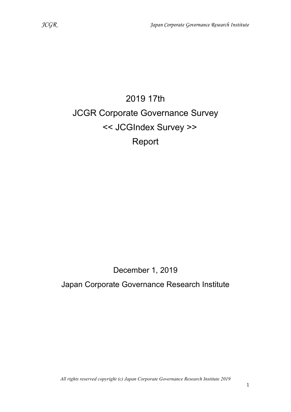# 2019 17th JCGR Corporate Governance Survey << JCGIndex Survey >> Report

# December 1, 2019

Japan Corporate Governance Research Institute

All rights reserved copyright (c) Japan Corporate Governance Research Institute 2019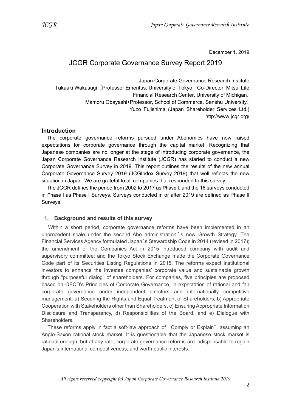December 1, 2019

## JCGR Corporate Governance Survey Report 2019

Japan Corporate Governance Research Institute Takaaki Wakasugi (Professor Emeritus, University of Tokyo; Co-Director, Mitsui Life Financial Research Center, University of Michigan) Mamoru Obayashi(Professor, School of Commerce, Senshu University) Yuzo Fujishima (Japan Shareholder Services Ltd.) http://www.jcgr.org/

#### **Introduction**

The corporate governance reforms pursued under Abenomics have now raised expectations for corporate governance through the capital market. Recognizing that Japanese companies are no longer at the stage of introducing corporate governance, the Japan Corporate Governance Research Institute (JCGR) has started to conduct a new Corporate Governance Survey in 2019. This report outlines the results of the new annual Corporate Governance Survey 2019 (JCGIndex Survey 2019) that well reflects the new situation in Japan. We are grateful to all companies that responded to this survey.

The JCGR defines the period from 2002 to 2017 as Phase I, and the 16 surveys conducted in Phase I as Phase I Surveys. Surveys conducted in or after 2019 are defined as Phase II Surveys.

#### 1. Background and results of this survey

Within a short period, corporate governance reforms have been implemented in an unprecedent scale under the second Abe administration ' s new Growth Strategy. The Financial Services Agency formulated Japan's Stewardship Code in 2014 (revised in 2017); the amendment of the Companies Act in 2015 introduced company with audit and supervisory committee; and the Tokyo Stock Exchange made the Corporate Governance Code part of its Securities Listing Regulations in 2015. The reforms expect institutional investors to enhance the investee companies' corporate value and sustainable growth through "purposeful dialog" of shareholders. For companies, five principles are proposed based on OECD's Principles of Corporate Governance, in expectation of rational and fair corporate governance under independent directors and internationally competitive management: a) Securing the Rights and Equal Treatment of Shareholders, b) Appropriate Cooperation with Stakeholders other than Shareholders, c) Ensuring Appropriate Information Disclosure and Transparency, d) Responsibilities of the Board, and e) Dialogue with Shareholders.

These reforms apply in fact a soft-law approach of "Comply or Explain", assuming an Anglo-Saxon rational stock market. It is questionable that the Japanese stock market is rational enough, but at any rate, corporate governance reforms are indispensable to regain Japan's international competitiveness, and worth public interests.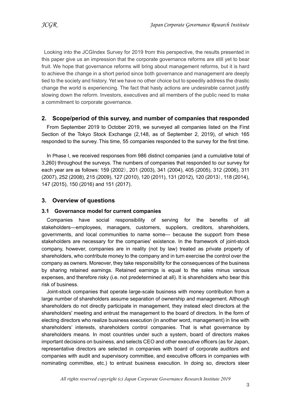Looking into the JCGIndex Survey for 2019 from this perspective, the results presented in this paper give us an impression that the corporate governance reforms are still yet to bear fruit. We hope that governance reforms will bring about management reforms, but it is hard to achieve the change in a short period since both governance and management are deeply tied to the society and history. Yet we have no other choice but to speedily address the drastic change the world is experiencing. The fact that hasty actions are undesirable cannot justify slowing down the reform. Investors, executives and all members of the public need to make a commitment to corporate governance.

#### 2. Scope/period of this survey, and number of companies that responded

From September 2019 to October 2019, we surveyed all companies listed on the First Section of the Tokyo Stock Exchange (2,148, as of September 2, 2019), of which 165 responded to the survey. This time, 55 companies responded to the survey for the first time.

In Phase I, we received responses from 986 distinct companies (and a cumulative total of 3,260) throughout the surveys. The numbers of companies that responded to our survey for each year are as follows: 159 (2002), 201 (2003), 341 (2004), 405 (2005), 312 (2006), 311 (2007), 252 (2008), 215 (2009), 127 (2010), 120 (2011), 131 (2012), 120 (2013), 118 (2014), 147 (2015), 150 (2016) and 151 (2017).

#### 3. Overview of questions

#### 3.1 Governance model for current companies

Companies have social responsibility of serving for the benefits of all stakeholders―employees, managers, customers, suppliers, creditors, shareholders, governments, and local communities to name some― because the support from these stakeholders are necessary for the companies' existence. In the framework of joint-stock company, however, companies are in reality (not by law) treated as private property of shareholders, who contribute money to the company and in turn exercise the control over the company as owners. Moreover, they take responsibility for the consequences of the business by sharing retained earnings. Retained earnings is equal to the sales minus various expenses, and therefore risky (i.e. not predetermined at all). It is shareholders who bear this risk of business.

Joint-stock companies that operate large-scale business with money contribution from a large number of shareholders assume separation of ownership and management. Although shareholders do not directly participate in management, they instead elect directors at the shareholders' meeting and entrust the management to the board of directors. In the form of electing directors who realize business execution (in another word, management) in line with shareholders' interests, shareholders control companies. That is what governance by shareholders means. In most countries under such a system, board of directors makes important decisions on business, and selects CEO and other executive officers (as for Japan, representative directors are selected in companies with board of corporate auditors and companies with audit and supervisory committee, and executive officers in companies with nominating committee, etc.) to entrust business execution. In doing so, directors steer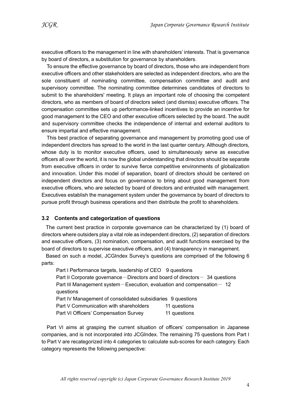executive officers to the management in line with shareholders' interests. That is governance by board of directors, a substitution for governance by shareholders.

To ensure the effective governance by board of directors, those who are independent from executive officers and other stakeholders are selected as independent directors, who are the sole constituent of nominating committee, compensation committee and audit and supervisory committee. The nominating committee determines candidates of directors to submit to the shareholders' meeting. It plays an important role of choosing the competent directors, who as members of board of directors select (and dismiss) executive officers. The compensation committee sets up performance-linked incentives to provide an incentive for good management to the CEO and other executive officers selected by the board. The audit and supervisory committee checks the independence of internal and external auditors to ensure impartial and effective management.

This best practice of separating governance and management by promoting good use of independent directors has spread to the world in the last quarter century. Although directors, whose duty is to monitor executive officers, used to simultaneously serve as executive officers all over the world, it is now the global understanding that directors should be separate from executive officers in order to survive fierce competitive environments of globalization and innovation. Under this model of separation, board of directors should be centered on independent directors and focus on governance to bring about good management from executive officers, who are selected by board of directors and entrusted with management. Executives establish the management system under the governance by board of directors to pursue profit through business operations and then distribute the profit to shareholders.

#### 3.2 Contents and categorization of questions

The current best practice in corporate governance can be characterized by (1) board of directors where outsiders play a vital role as independent directors, (2) separation of directors and executive officers, (3) nomination, compensation, and audit functions exercised by the board of directors to supervise executive officers, and (4) transparency in management.

Based on such a model, JCGIndex Survey's questions are comprised of the following 6 parts:

Part I Performance targets, leadership of CEO 9 questions Part II Corporate governance – Directors and board of directors –  $34$  questions Part III Management system-Execution, evaluation and compensation-  $12$ questions Part IV Management of consolidated subsidiaries 9 questions Part V Communication with shareholders 11 questions Part VI Officers' Compensation Survey 11 questions

Part VI aims at grasping the current situation of officers' compensation in Japanese companies, and is not incorporated into JCGIndex. The remaining 75 questions from Part I to Part V are recategorized into 4 categories to calculate sub-scores for each category. Each category represents the following perspective: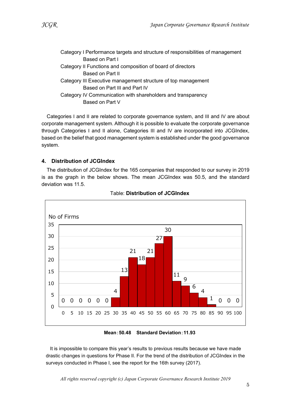| Category I Performance targets and structure of responsibilities of management |
|--------------------------------------------------------------------------------|
|                                                                                |
|                                                                                |
|                                                                                |
|                                                                                |
|                                                                                |
|                                                                                |
|                                                                                |
|                                                                                |

Categories I and II are related to corporate governance system, and III and IV are about corporate management system. Although it is possible to evaluate the corporate governance through Categories I and II alone, Categories III and IV are incorporated into JCGIndex, based on the belief that good management system is established under the good governance system.

#### 4. Distribution of JCGIndex

The distribution of JCGIndex for the 165 companies that responded to our survey in 2019 is as the graph in the below shows. The mean JCGIndex was 50.5, and the standard deviation was 11.5.



#### Table: Distribution of JCGIndex

Mean:50.48 Standard Deviation:11.93

It is impossible to compare this year's results to previous results because we have made drastic changes in questions for Phase II. For the trend of the distribution of JCGIndex in the surveys conducted in Phase I, see the report for the 16th survey (2017).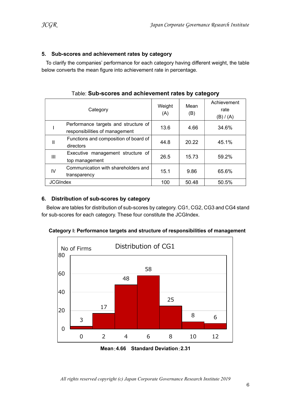#### 5. Sub-scores and achievement rates by category

To clarify the companies' performance for each category having different weight, the table below converts the mean figure into achievement rate in percentage.

|                 | Category                                                               | Weight<br>(A) | Mean<br>(B) | Achievement<br>rate<br>(B) / (A) |
|-----------------|------------------------------------------------------------------------|---------------|-------------|----------------------------------|
|                 | Performance targets and structure of<br>responsibilities of management | 13.6          | 4.66        | 34.6%                            |
| Ш               | Functions and composition of board of<br>directors                     | 44.8          | 20.22       | 45.1%                            |
| Ш               | Executive management structure of<br>top management                    | 26.5          | 15.73       | 59.2%                            |
| IV              | Communication with shareholders and<br>transparency                    | 15.1          | 9.86        | 65.6%                            |
| <b>JCGIndex</b> |                                                                        | 100           | 50.48       | 50.5%                            |

Table: Sub-scores and achievement rates by category

#### 6. Distribution of sub-scores by category

Below are tables for distribution of sub-scores by category. CG1, CG2, CG3 and CG4 stand for sub-scores for each category. These four constitute the JCGIndex.



Category I: Performance targets and structure of responsibilities of management

Mean:4.66 Standard Deviation:2.31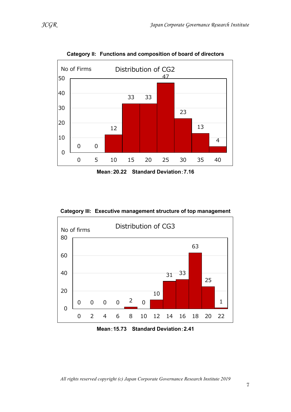

Category II: Functions and composition of board of directors

Mean:20.22 Standard Deviation:7.16

Category III: Executive management structure of top management



Mean:15.73 Standard Deviation:2.41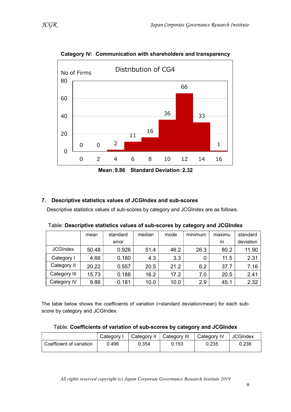

Category IV: Communication with shareholders and transparency

Mean:9.86 Standard Deviation:2.32

#### 7. Descriptive statistics values of JCGIndex and sub-scores

Descriptive statistics values of sub-scores by category and JCGIndex are as follows.

|                 | mean  | standard | median | mode | minimum | maximu | standard  |
|-----------------|-------|----------|--------|------|---------|--------|-----------|
|                 |       | error    |        |      |         | m      | deviation |
| <b>JCGIndex</b> | 50.48 | 0.926    | 51.4   | 46.2 | 26.3    | 80.2   | 11.90     |
| Category I      | 4.66  | 0.180    | 4.3    | 3.3  |         | 11.5   | 2.31      |
| Category II     | 20.22 | 0.557    | 20.5   | 21.2 | 6.2     | 37.7   | 7.16      |
| Category III    | 15.73 | 0.188    | 16.2   | 17.2 | 7.0     | 20.5   | 2.41      |
| Category IV     | 9.86  | 0.181    | 10.0   | 10.0 | 2.9     | 45.1   | 2.32      |

Table: Descriptive statistics values of sub-scores by category and JCGIndex

The table below shows the coefficients of variation (=standard deviation/mean) for each subscore by category and JCGIndex.

| Table: Coefficients of variation of sub-scores by category and JCGIndex |  |  |
|-------------------------------------------------------------------------|--|--|
|-------------------------------------------------------------------------|--|--|

|                          | Category I | Category II   Category III |       | Category IV | JCGIndex |
|--------------------------|------------|----------------------------|-------|-------------|----------|
| Coefficient of variation | 0.496      | 0.354                      | 0.153 | 0.235       | 0.236    |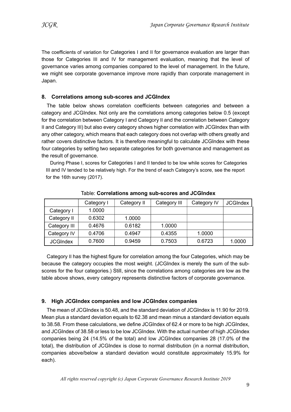The coefficients of variation for Categories I and II for governance evaluation are larger than those for Categories III and IV for management evaluation, meaning that the level of governance varies among companies compared to the level of management. In the future, we might see corporate governance improve more rapidly than corporate management in Japan.

#### 8. Correlations among sub-scores and JCGIndex

The table below shows correlation coefficients between categories and between a category and JCGIndex. Not only are the correlations among categories below 0.5 (except for the correlation between Category I and Category II and the correlation between Category II and Category III) but also every category shows higher correlation with JCGIndex than with any other category, which means that each category does not overlap with others greatly and rather covers distinctive factors. It is therefore meaningful to calculate JCGIndex with these four categories by setting two separate categories for both governance and management as the result of governance.

During Phase I, scores for Categories I and II tended to be low while scores for Categories III and IV tended to be relatively high. For the trend of each Category's score, see the report for the 16th survey (2017).

|                 | Category I | Category II | Category III | Category IV | <b>JCGIndex</b> |
|-----------------|------------|-------------|--------------|-------------|-----------------|
| Category I      | 1.0000     |             |              |             |                 |
| Category II     | 0.6302     | 1.0000      |              |             |                 |
| Category III    | 0.4676     | 0.6182      | 1.0000       |             |                 |
| Category IV     | 0.4706     | 0.4947      | 0.4355       | 1.0000      |                 |
| <b>JCGIndex</b> | 0.7600     | 0.9459      | 0.7503       | 0.6723      | 1.0000          |

Table: Correlations among sub-scores and JCGIndex

Category II has the highest figure for correlation among the four Categories, which may be because the category occupies the most weight. (JCGIndex is merely the sum of the subscores for the four categories.) Still, since the correlations among categories are low as the table above shows, every category represents distinctive factors of corporate governance.

#### 9. High JCGIndex companies and low JCGIndex companies

The mean of JCGIndex is 50.48, and the standard deviation of JCGIndex is 11.90 for 2019. Mean plus a standard deviation equals to 62.38 and mean minus a standard deviation equals to 38.58. From these calculations, we define JCGIndex of 62.4 or more to be high JCGIndex, and JCGIndex of 38.58 or less to be low JCGIndex. With the actual number of high JCGIndex companies being 24 (14.5% of the total) and low JCGIndex companies 28 (17.0% of the total), the distribution of JCGIndex is close to normal distribution (in a normal distribution, companies above/below a standard deviation would constitute approximately 15.9% for each).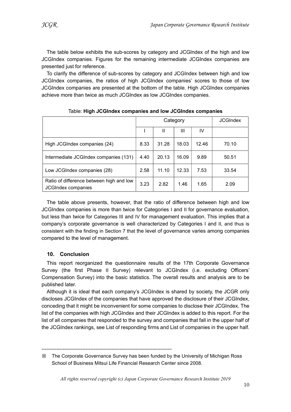The table below exhibits the sub-scores by category and JCGIndex of the high and low JCGIndex companies. Figures for the remaining intermediate JCGIndex companies are presented just for reference.

To clarify the difference of sub-scores by category and JCGIndex between high and low JCGIndex companies, the ratios of high JCGIndex companies' scores to those of low JCGIndex companies are presented at the bottom of the table. High JCGIndex companies achieve more than twice as much JCGIndex as low JCGIndex companies.

|                                                                       | Category |       |       | <b>JCGIndex</b> |       |
|-----------------------------------------------------------------------|----------|-------|-------|-----------------|-------|
|                                                                       |          |       | Ш     | IV              |       |
| High JCGIndex companies (24)                                          | 8.33     | 31.28 | 18.03 | 12.46           | 70.10 |
| Intermediate JCGIndex companies (131)                                 | 4.40     | 20.13 | 16.09 | 9.89            | 50.51 |
| Low JCGIndex companies (28)                                           | 2.58     | 11.10 | 12.33 | 7.53            | 33.54 |
| Ratio of difference between high and low<br><b>JCGIndex companies</b> | 3.23     | 2.82  | 1.46  | 1.65            | 2.09  |

Table: High JCGIndex companies and low JCGIndex companies

The table above presents, however, that the ratio of difference between high and low JCGIndex companies is more than twice for Categories I and II for governance evaluation, but less than twice for Categories III and IV for management evaluation. This implies that a company's corporate governance is well characterized by Categories I and II, and thus is consistent with the finding in Section 7 that the level of governance varies among companies compared to the level of management.

#### 10. Conclusion

This report reorganized the questionnaire results of the 17th Corporate Governance Survey (the first Phase II Survey) relevant to JCGIndex (i.e. excluding Officers' Compensation Survey) into the basic statistics. The overall results and analysis are to be published later.

Although it is ideal that each company's JCGIndex is shared by society, the JCGR only discloses JCGIndex of the companies that have approved the disclosure of their JCGIndex, conceding that it might be inconvenient for some companies to disclose their JCGIndex. The list of the companies with high JCGIndex and their JCGIndex is added to this report. For the list of all companies that responded to the survey and companies that fall in the upper half of the JCGIndex rankings, see List of responding firms and List of companies in the upper half.

--------------------------------------------------------------------------------

<sup>※</sup> The Corporate Governance Survey has been funded by the University of Michigan Ross School of Business Mitsui Life Financial Research Center since 2008.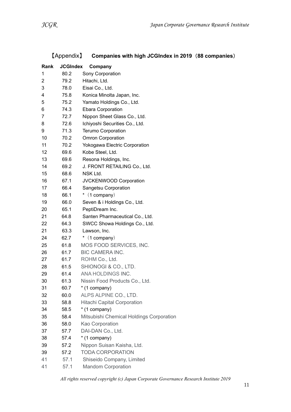| Rank | <b>JCGIndex</b> | Company                                  |
|------|-----------------|------------------------------------------|
| 1    | 80.2            | Sony Corporation                         |
| 2    | 79.2            | Hitachi, Ltd.                            |
| 3    | 78.0            | Eisai Co., Ltd.                          |
| 4    | 75.8            | Konica Minolta Japan, Inc.               |
| 5    | 75.2            | Yamato Holdings Co., Ltd.                |
| 6    | 74.3            | <b>Ebara Corporation</b>                 |
| 7    | 72.7            | Nippon Sheet Glass Co., Ltd.             |
| 8    | 72.6            | Ichiyoshi Securities Co., Ltd.           |
| 9    | 71.3            | <b>Terumo Corporation</b>                |
| 10   | 70.2            | <b>Omron Corporation</b>                 |
| 11   | 70.2            | Yokogawa Electric Corporation            |
| 12   | 69.6            | Kobe Steel, Ltd.                         |
| 13   | 69.6            | Resona Holdings, Inc.                    |
| 14   | 69.2            | J. FRONT RETAILING Co., Ltd.             |
| 15   | 68.6            | NSK Ltd.                                 |
| 16   | 67.1            | JVCKENWOOD Corporation                   |
| 17   | 66.4            | Sangetsu Corporation                     |
| 18   | 66.1            | $*$ (1 company)                          |
| 19   | 66.0            | Seven & i Holdings Co., Ltd.             |
| 20   | 65.1            | PeptiDream Inc.                          |
| 21   | 64.8            | Santen Pharmaceutical Co., Ltd.          |
| 22   | 64.3            | SWCC Showa Holdings Co., Ltd.            |
| 21   | 63.3            | Lawson, Inc.                             |
| 24   | 62.7            | $*$ (1 company)                          |
| 25   | 61.8            | MOS FOOD SERVICES, INC.                  |
| 26   | 61.7            | <b>BIC CAMERA INC.</b>                   |
| 27   | 61.7            | ROHM Co., Ltd.                           |
| 28   | 61.5            | SHIONOGI & CO., LTD.                     |
| 29   | 61.4            | ANA HOLDINGS INC.                        |
| 30   | 61.3            | Nissin Food Products Co., Ltd.           |
| 31   | 60.7            | * (1 company)                            |
| 32   | 60.0            | ALPS ALPINE CO., LTD.                    |
| 33   | 58.8            | <b>Hitachi Capital Corporation</b>       |
| 34   | 58.5            | * (1 company)                            |
| 35   | 58.4            | Mitsubishi Chemical Holdings Corporation |
| 36   | 58.0            | Kao Corporation                          |
| 37   | 57.7            | DAI-DAN Co., Ltd.                        |
| 38   | 57.4            | * (1 company)                            |
| 39   | 57.2            | Nippon Suisan Kaisha, Ltd.               |
| 39   | 57.2            | <b>TODA CORPORATION</b>                  |
| 41   | 57.1            | Shiseido Company, Limited                |
| 41   | 57.1            | <b>Mandom Corporation</b>                |

## 【Appendix】 Companies with high JCGIndex in 2019 (88 companies)